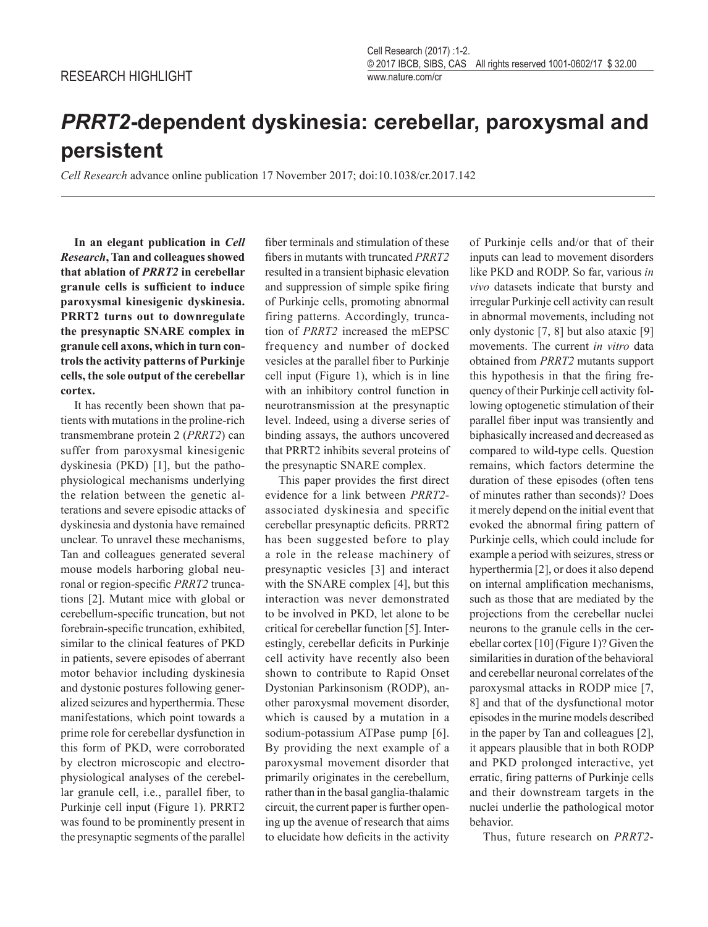## *PRRT2***-dependent dyskinesia: cerebellar, paroxysmal and persistent**

*Cell Research* advance online publication 17 November 2017; doi:10.1038/cr.2017.142

**In an elegant publication in** *Cell Research***, Tan and colleagues showed that ablation of** *PRRT2* **in cerebellar granule cells is sufficient to induce paroxysmal kinesigenic dyskinesia. PRRT2 turns out to downregulate the presynaptic SNARE complex in granule cell axons, which in turn controls the activity patterns of Purkinje cells, the sole output of the cerebellar cortex.**

It has recently been shown that patients with mutations in the proline-rich transmembrane protein 2 (*PRRT2*) can suffer from paroxysmal kinesigenic dyskinesia (PKD) [1], but the pathophysiological mechanisms underlying the relation between the genetic alterations and severe episodic attacks of dyskinesia and dystonia have remained unclear. To unravel these mechanisms, Tan and colleagues generated several mouse models harboring global neuronal or region-specific *PRRT2* truncations [2]. Mutant mice with global or cerebellum-specific truncation, but not forebrain-specific truncation, exhibited, similar to the clinical features of PKD in patients, severe episodes of aberrant motor behavior including dyskinesia and dystonic postures following generalized seizures and hyperthermia. These manifestations, which point towards a prime role for cerebellar dysfunction in this form of PKD, were corroborated by electron microscopic and electrophysiological analyses of the cerebellar granule cell, i.e., parallel fiber, to Purkinje cell input (Figure 1). PRRT2 was found to be prominently present in the presynaptic segments of the parallel

fiber terminals and stimulation of these fibers in mutants with truncated *PRRT2* resulted in a transient biphasic elevation and suppression of simple spike firing of Purkinje cells, promoting abnormal firing patterns. Accordingly, truncation of *PRRT2* increased the mEPSC frequency and number of docked vesicles at the parallel fiber to Purkinje cell input (Figure 1), which is in line with an inhibitory control function in neurotransmission at the presynaptic level. Indeed, using a diverse series of binding assays, the authors uncovered that PRRT2 inhibits several proteins of the presynaptic SNARE complex.

This paper provides the first direct evidence for a link between *PRRT2* associated dyskinesia and specific cerebellar presynaptic deficits. PRRT2 has been suggested before to play a role in the release machinery of presynaptic vesicles [3] and interact with the SNARE complex [4], but this interaction was never demonstrated to be involved in PKD, let alone to be critical for cerebellar function [5]. Interestingly, cerebellar deficits in Purkinje cell activity have recently also been shown to contribute to Rapid Onset Dystonian Parkinsonism (RODP), another paroxysmal movement disorder, which is caused by a mutation in a sodium-potassium ATPase pump [6]. By providing the next example of a paroxysmal movement disorder that primarily originates in the cerebellum, rather than in the basal ganglia-thalamic circuit, the current paper is further opening up the avenue of research that aims to elucidate how deficits in the activity

of Purkinje cells and/or that of their inputs can lead to movement disorders like PKD and RODP. So far, various *in vivo* datasets indicate that bursty and irregular Purkinje cell activity can result in abnormal movements, including not only dystonic [7, 8] but also ataxic [9] movements. The current *in vitro* data obtained from *PRRT2* mutants support this hypothesis in that the firing frequency of their Purkinje cell activity following optogenetic stimulation of their parallel fiber input was transiently and biphasically increased and decreased as compared to wild-type cells. Question remains, which factors determine the duration of these episodes (often tens of minutes rather than seconds)? Does it merely depend on the initial event that evoked the abnormal firing pattern of Purkinje cells, which could include for example a period with seizures, stress or hyperthermia [2], or does it also depend on internal amplification mechanisms, such as those that are mediated by the projections from the cerebellar nuclei neurons to the granule cells in the cerebellar cortex [10] (Figure 1)? Given the similarities in duration of the behavioral and cerebellar neuronal correlates of the paroxysmal attacks in RODP mice [7, 8] and that of the dysfunctional motor episodes in the murine models described in the paper by Tan and colleagues [2], it appears plausible that in both RODP and PKD prolonged interactive, yet erratic, firing patterns of Purkinje cells and their downstream targets in the nuclei underlie the pathological motor behavior.

Thus, future research on *PRRT2*-